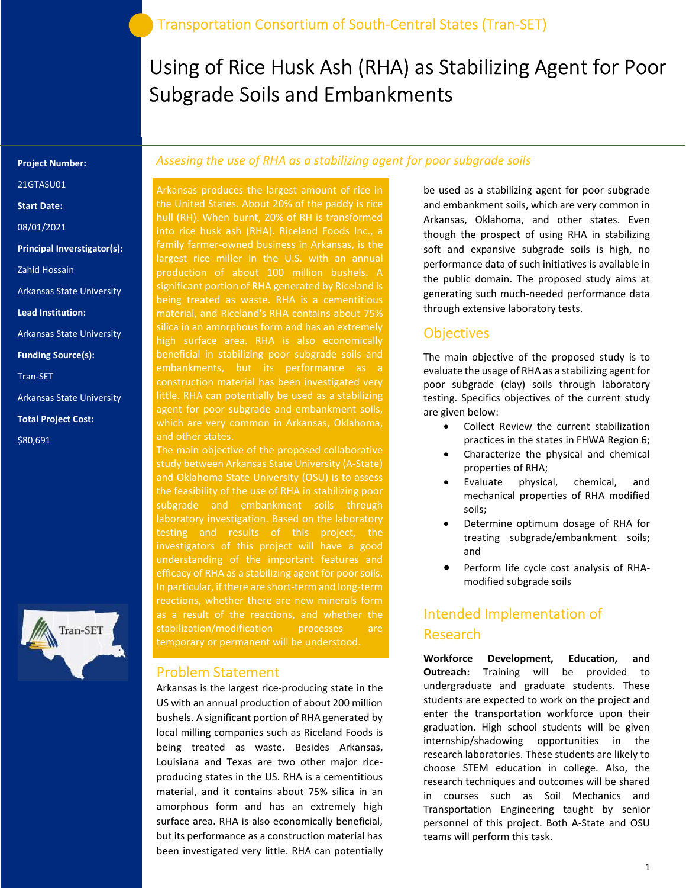# Using of Rice Husk Ash (RHA) as Stabilizing Agent for Poor Subgrade Soils and Embankments

#### Project Number:

21GTASU01

Start Date:

08/01/2021

Principal Inverstigator(s):

Zahid Hossain

Arkansas State University

Lead Institution:

Arkansas State University

Funding Source(s):

Tran-SET

Arkansas State University

Total Project Cost:

\$80,691



### Assesing the use of RHA as a stabilizing agent for poor subgrade soils

Arkansas produces the largest amount of rice in the United States. About 20% of the paddy is rice hull (RH). When burnt, 20% of RH is transformed into rice husk ash (RHA). Riceland Foods Inc., a family farmer-owned business in Arkansas, is the largest rice miller in the U.S. with an annual significant portion of RHA generated by Riceland is being treated as waste. RHA is a cementitious material, and Riceland's RHA contains about 75% high surface area. RHA is also economically beneficial in stabilizing poor subgrade soils and construction material has been investigated very little. RHA can potentially be used as a stabilizing agent for poor subgrade and embankment soils, which are very common in Arkansas, Oklahoma, and other states.

The main objective of the proposed collaborative study between Arkansas State University (A-State) and Oklahoma State University (OSU) is to assess the feasibility of the use of RHA in stabilizing poor subgrade and embankment soils through laboratory investigation. Based on the laboratory testing and results of this project, the investigators of this project will have a good understanding of the important features and efficacy of RHA as a stabilizing agent for poor soils. In particular, if there are short-term and long-term reactions, whether there are new minerals form as a result of the reactions, and whether the stabilization/modification processes are

#### Problem Statement

Arkansas is the largest rice-producing state in the US with an annual production of about 200 million bushels. A significant portion of RHA generated by local milling companies such as Riceland Foods is being treated as waste. Besides Arkansas, Louisiana and Texas are two other major riceproducing states in the US. RHA is a cementitious material, and it contains about 75% silica in an amorphous form and has an extremely high surface area. RHA is also economically beneficial, but its performance as a construction material has been investigated very little. RHA can potentially

be used as a stabilizing agent for poor subgrade and embankment soils, which are very common in Arkansas, Oklahoma, and other states. Even though the prospect of using RHA in stabilizing soft and expansive subgrade soils is high, no performance data of such initiatives is available in the public domain. The proposed study aims at generating such much-needed performance data through extensive laboratory tests.

### **Objectives**

The main objective of the proposed study is to evaluate the usage of RHA as a stabilizing agent for poor subgrade (clay) soils through laboratory testing. Specifics objectives of the current study are given below:

- Collect Review the current stabilization practices in the states in FHWA Region 6;
- Characterize the physical and chemical properties of RHA;
- Evaluate physical, chemical, and mechanical properties of RHA modified soils;
- Determine optimum dosage of RHA for treating subgrade/embankment soils; and
- Perform life cycle cost analysis of RHAmodified subgrade soils

# Intended Implementation of Research

Workforce Development, Education, and Outreach: Training will be provided to undergraduate and graduate students. These students are expected to work on the project and enter the transportation workforce upon their graduation. High school students will be given internship/shadowing opportunities in the research laboratories. These students are likely to choose STEM education in college. Also, the research techniques and outcomes will be shared in courses such as Soil Mechanics and Transportation Engineering taught by senior personnel of this project. Both A-State and OSU teams will perform this task.